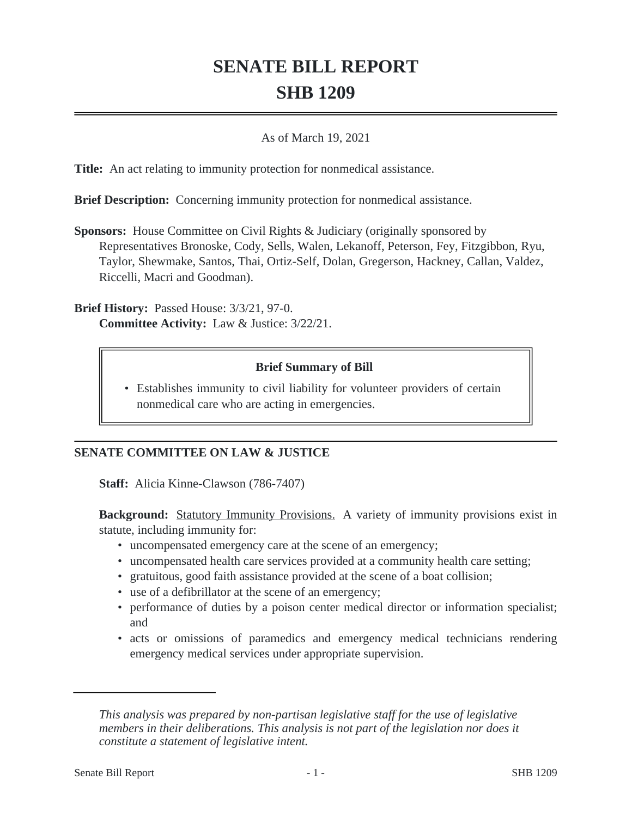## **SENATE BILL REPORT SHB 1209**

## As of March 19, 2021

**Title:** An act relating to immunity protection for nonmedical assistance.

**Brief Description:** Concerning immunity protection for nonmedical assistance.

**Sponsors:** House Committee on Civil Rights & Judiciary (originally sponsored by Representatives Bronoske, Cody, Sells, Walen, Lekanoff, Peterson, Fey, Fitzgibbon, Ryu, Taylor, Shewmake, Santos, Thai, Ortiz-Self, Dolan, Gregerson, Hackney, Callan, Valdez, Riccelli, Macri and Goodman).

**Brief History:** Passed House: 3/3/21, 97-0. **Committee Activity:** Law & Justice: 3/22/21.

## **Brief Summary of Bill**

• Establishes immunity to civil liability for volunteer providers of certain nonmedical care who are acting in emergencies.

## **SENATE COMMITTEE ON LAW & JUSTICE**

**Staff:** Alicia Kinne-Clawson (786-7407)

**Background:** Statutory Immunity Provisions. A variety of immunity provisions exist in statute, including immunity for:

- uncompensated emergency care at the scene of an emergency;
- uncompensated health care services provided at a community health care setting;
- gratuitous, good faith assistance provided at the scene of a boat collision;
- use of a defibrillator at the scene of an emergency;
- performance of duties by a poison center medical director or information specialist; and
- acts or omissions of paramedics and emergency medical technicians rendering emergency medical services under appropriate supervision.

*This analysis was prepared by non-partisan legislative staff for the use of legislative members in their deliberations. This analysis is not part of the legislation nor does it constitute a statement of legislative intent.*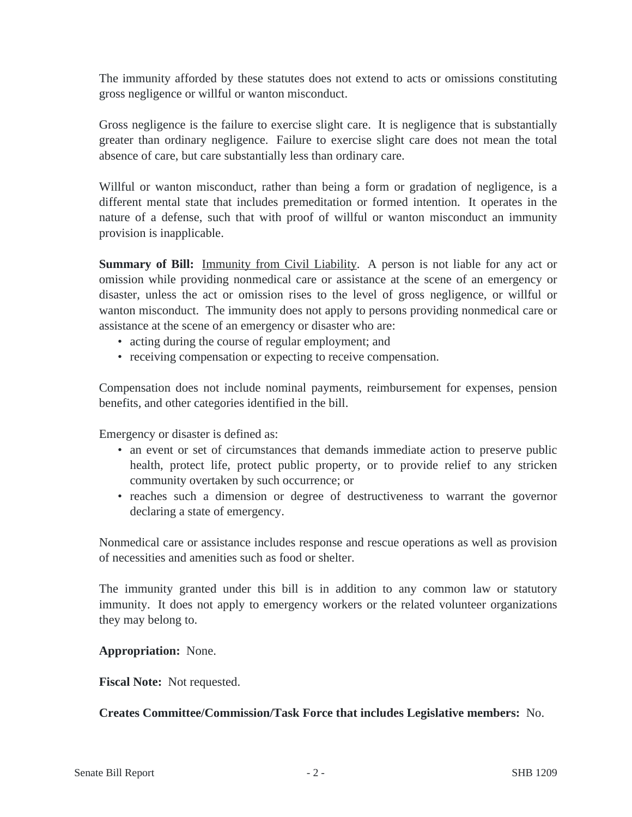The immunity afforded by these statutes does not extend to acts or omissions constituting gross negligence or willful or wanton misconduct.

Gross negligence is the failure to exercise slight care. It is negligence that is substantially greater than ordinary negligence. Failure to exercise slight care does not mean the total absence of care, but care substantially less than ordinary care.

Willful or wanton misconduct, rather than being a form or gradation of negligence, is a different mental state that includes premeditation or formed intention. It operates in the nature of a defense, such that with proof of willful or wanton misconduct an immunity provision is inapplicable.

**Summary of Bill:** Immunity from Civil Liability. A person is not liable for any act or omission while providing nonmedical care or assistance at the scene of an emergency or disaster, unless the act or omission rises to the level of gross negligence, or willful or wanton misconduct. The immunity does not apply to persons providing nonmedical care or assistance at the scene of an emergency or disaster who are:

- acting during the course of regular employment; and
- receiving compensation or expecting to receive compensation.

Compensation does not include nominal payments, reimbursement for expenses, pension benefits, and other categories identified in the bill.

Emergency or disaster is defined as:

- an event or set of circumstances that demands immediate action to preserve public health, protect life, protect public property, or to provide relief to any stricken community overtaken by such occurrence; or
- reaches such a dimension or degree of destructiveness to warrant the governor declaring a state of emergency.

Nonmedical care or assistance includes response and rescue operations as well as provision of necessities and amenities such as food or shelter.

The immunity granted under this bill is in addition to any common law or statutory immunity. It does not apply to emergency workers or the related volunteer organizations they may belong to.

**Appropriation:** None.

**Fiscal Note:** Not requested.

**Creates Committee/Commission/Task Force that includes Legislative members:** No.